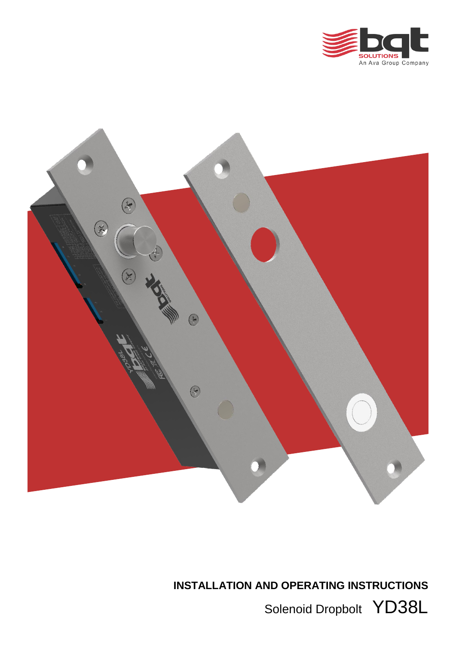



**INSTALLATION AND OPERATING INSTRUCTIONS**

Solenoid Dropbolt YD38L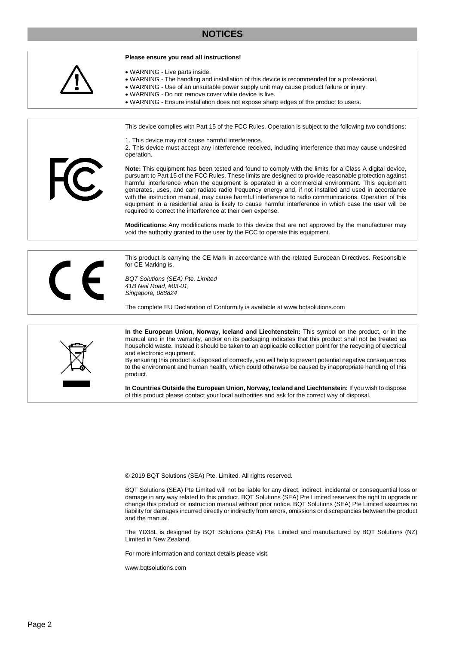## **NOTICES**



© 2019 BQT Solutions (SEA) Pte. Limited. All rights reserved.

BQT Solutions (SEA) Pte Limited will not be liable for any direct, indirect, incidental or consequential loss or damage in any way related to this product. BQT Solutions (SEA) Pte Limited reserves the right to upgrade or change this product or instruction manual without prior notice. BQT Solutions (SEA) Pte Limited assumes no liability for damages incurred directly or indirectly from errors, omissions or discrepancies between the product and the manual.

The YD38L is designed by BQT Solutions (SEA) Pte. Limited and manufactured by BQT Solutions (NZ) Limited in New Zealand.

For more information and contact details please visit,

www.bqtsolutions.com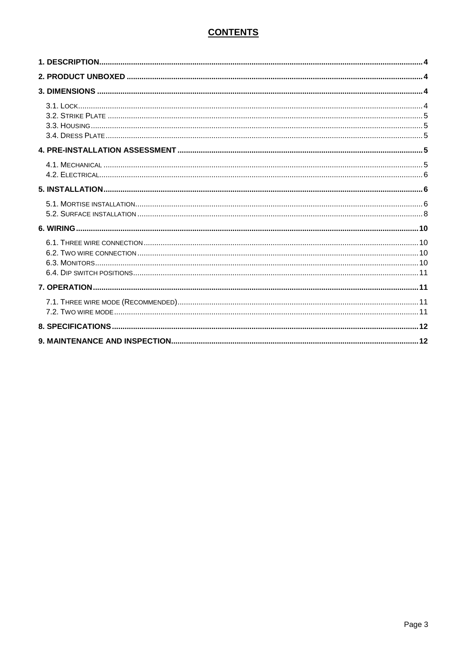# **CONTENTS**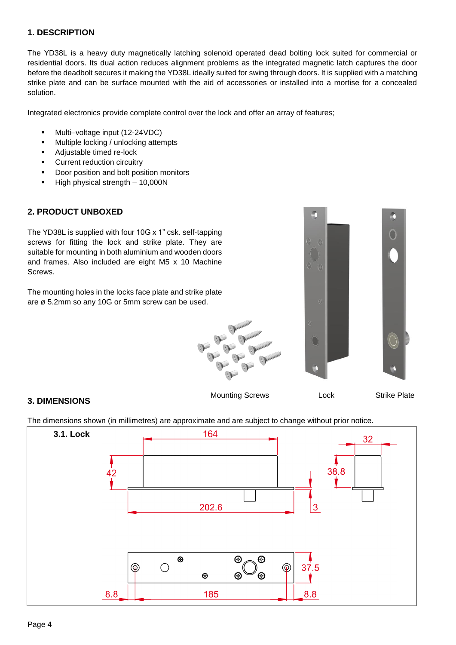#### <span id="page-3-0"></span>**1. DESCRIPTION**

The YD38L is a heavy duty magnetically latching solenoid operated dead bolting lock suited for commercial or residential doors. Its dual action reduces alignment problems as the integrated magnetic latch captures the door before the deadbolt secures it making the YD38L ideally suited for swing through doors. It is supplied with a matching strike plate and can be surface mounted with the aid of accessories or installed into a mortise for a concealed solution.

Integrated electronics provide complete control over the lock and offer an array of features;

- Multi–voltage input (12-24VDC)
- **Multiple locking / unlocking attempts**
- Adjustable timed re-lock
- **Current reduction circuitry**
- Door position and bolt position monitors
- $\blacksquare$  High physical strength 10,000N

#### <span id="page-3-1"></span>**2. PRODUCT UNBOXED**

The YD38L is supplied with four 10G x 1" csk. self-tapping screws for fitting the lock and strike plate. They are suitable for mounting in both aluminium and wooden doors and frames. Also included are eight M5 x 10 Machine Screws.

The mounting holes in the locks face plate and strike plate are ø 5.2mm so any 10G or 5mm screw can be used.



## <span id="page-3-2"></span>**3. DIMENSIONS**

<span id="page-3-3"></span>The dimensions shown (in millimetres) are approximate and are subject to change without prior notice.

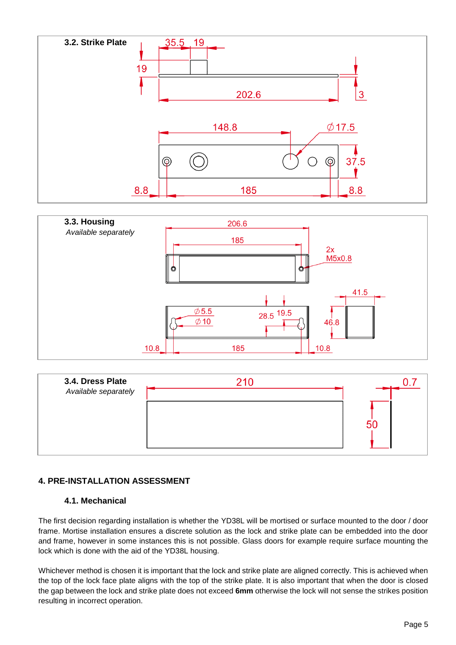<span id="page-4-0"></span>

<span id="page-4-1"></span>

<span id="page-4-2"></span>

## <span id="page-4-3"></span>**4. PRE-INSTALLATION ASSESSMENT**

#### **4.1. Mechanical**

<span id="page-4-4"></span>The first decision regarding installation is whether the YD38L will be mortised or surface mounted to the door / door frame. Mortise installation ensures a discrete solution as the lock and strike plate can be embedded into the door and frame, however in some instances this is not possible. Glass doors for example require surface mounting the lock which is done with the aid of the YD38L housing.

Whichever method is chosen it is important that the lock and strike plate are aligned correctly. This is achieved when the top of the lock face plate aligns with the top of the strike plate. It is also important that when the door is closed the gap between the lock and strike plate does not exceed **6mm** otherwise the lock will not sense the strikes position resulting in incorrect operation.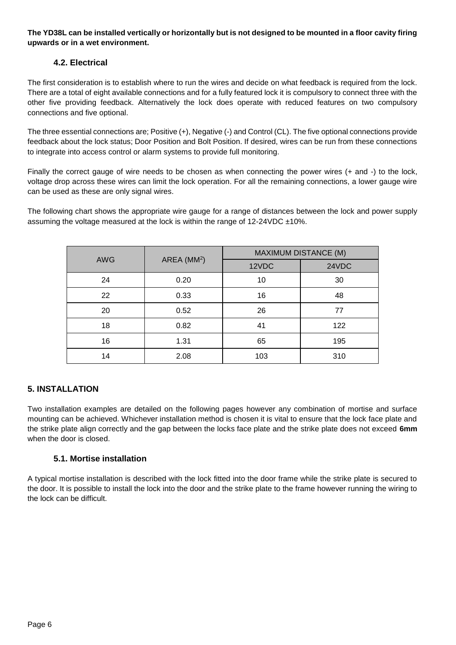#### **The YD38L can be installed vertically or horizontally but is not designed to be mounted in a floor cavity firing upwards or in a wet environment.**

## **4.2. Electrical**

<span id="page-5-0"></span>The first consideration is to establish where to run the wires and decide on what feedback is required from the lock. There are a total of eight available connections and for a fully featured lock it is compulsory to connect three with the other five providing feedback. Alternatively the lock does operate with reduced features on two compulsory connections and five optional.

The three essential connections are; Positive (+), Negative (-) and Control (CL). The five optional connections provide feedback about the lock status; Door Position and Bolt Position. If desired, wires can be run from these connections to integrate into access control or alarm systems to provide full monitoring.

Finally the correct gauge of wire needs to be chosen as when connecting the power wires (+ and -) to the lock, voltage drop across these wires can limit the lock operation. For all the remaining connections, a lower gauge wire can be used as these are only signal wires.

The following chart shows the appropriate wire gauge for a range of distances between the lock and power supply assuming the voltage measured at the lock is within the range of 12-24VDC ±10%.

| <b>AWG</b> | AREA (MM <sup>2</sup> ) | <b>MAXIMUM DISTANCE (M)</b> |       |  |
|------------|-------------------------|-----------------------------|-------|--|
|            |                         | 12VDC                       | 24VDC |  |
| 24         | 0.20                    | 10                          | 30    |  |
| 22         | 0.33                    | 16                          | 48    |  |
| 20         | 0.52                    | 26                          | 77    |  |
| 18         | 0.82                    | 41                          | 122   |  |
| 16         | 1.31                    | 65                          | 195   |  |
| 14         | 2.08                    | 103                         | 310   |  |

## <span id="page-5-1"></span>**5. INSTALLATION**

Two installation examples are detailed on the following pages however any combination of mortise and surface mounting can be achieved. Whichever installation method is chosen it is vital to ensure that the lock face plate and the strike plate align correctly and the gap between the locks face plate and the strike plate does not exceed **6mm** when the door is closed.

#### **5.1. Mortise installation**

<span id="page-5-2"></span>A typical mortise installation is described with the lock fitted into the door frame while the strike plate is secured to the door. It is possible to install the lock into the door and the strike plate to the frame however running the wiring to the lock can be difficult.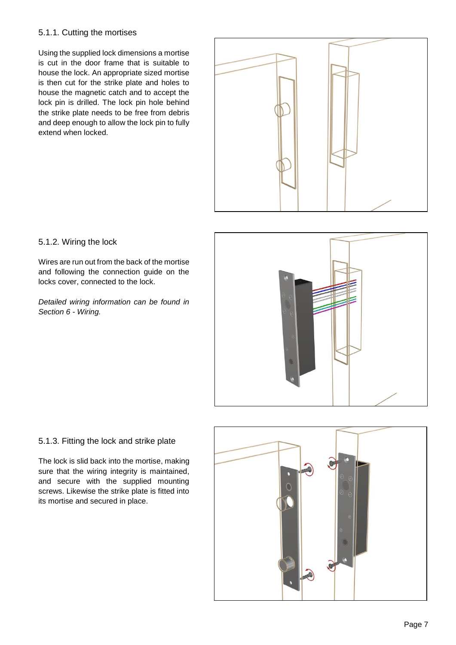#### 5.1.1. Cutting the mortises

Using the supplied lock dimensions a mortise is cut in the door frame that is suitable to house the lock. An appropriate sized mortise is then cut for the strike plate and holes to house the magnetic catch and to accept the lock pin is drilled. The lock pin hole behind the strike plate needs to be free from debris and deep enough to allow the lock pin to fully extend when locked.



#### 5.1.2. Wiring the lock

Wires are run out from the back of the mortise and following the connection guide on the locks cover, connected to the lock.

*Detailed wiring information can be found in Section [6](#page-9-0) - [Wiring.](#page-9-0)*



#### 5.1.3. Fitting the lock and strike plate

The lock is slid back into the mortise, making sure that the wiring integrity is maintained, and secure with the supplied mounting screws. Likewise the strike plate is fitted into its mortise and secured in place.

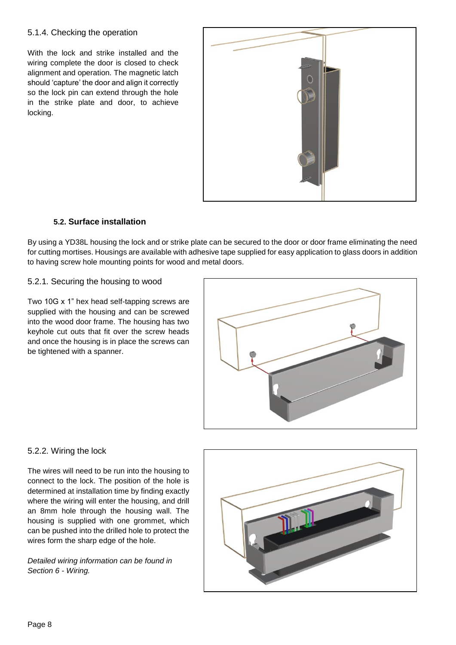#### 5.1.4. Checking the operation

With the lock and strike installed and the wiring complete the door is closed to check alignment and operation. The magnetic latch should 'capture' the door and align it correctly so the lock pin can extend through the hole in the strike plate and door, to achieve locking.



#### **5.2. Surface installation**

<span id="page-7-0"></span>By using a YD38L housing the lock and or strike plate can be secured to the door or door frame eliminating the need for cutting mortises. Housings are available with adhesive tape supplied for easy application to glass doors in addition to having screw hole mounting points for wood and metal doors.

#### 5.2.1. Securing the housing to wood

Two 10G x 1" hex head self-tapping screws are supplied with the housing and can be screwed into the wood door frame. The housing has two keyhole cut outs that fit over the screw heads and once the housing is in place the screws can be tightened with a spanner.



#### 5.2.2. Wiring the lock

The wires will need to be run into the housing to connect to the lock. The position of the hole is determined at installation time by finding exactly where the wiring will enter the housing, and drill an 8mm hole through the housing wall. The housing is supplied with one grommet, which can be pushed into the drilled hole to protect the wires form the sharp edge of the hole.

*Detailed wiring information can be found in Section [6](#page-9-0) - [Wiring.](#page-9-0)*

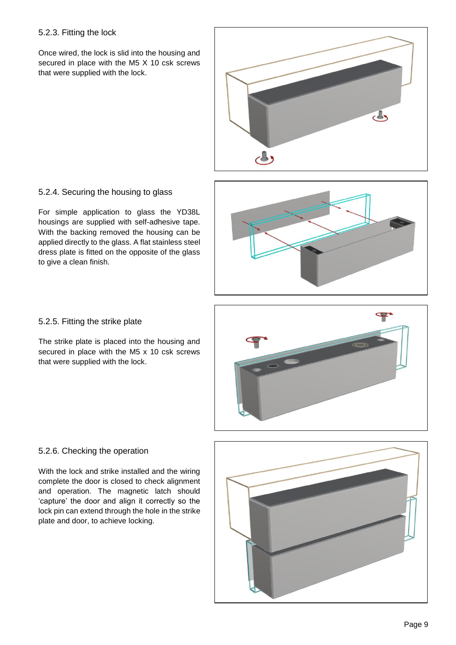#### 5.2.3. Fitting the lock

Once wired, the lock is slid into the housing and secured in place with the M5 X 10 csk screws that were supplied with the lock.



## 5.2.4. Securing the housing to glass

For simple application to glass the YD38L housings are supplied with self-adhesive tape. With the backing removed the housing can be applied directly to the glass. A flat stainless steel dress plate is fitted on the opposite of the glass to give a clean finish.



#### 5.2.5. Fitting the strike plate

The strike plate is placed into the housing and secured in place with the M5 x 10 csk screws that were supplied with the lock.



#### 5.2.6. Checking the operation

With the lock and strike installed and the wiring complete the door is closed to check alignment and operation. The magnetic latch should 'capture' the door and align it correctly so the lock pin can extend through the hole in the strike plate and door, to achieve locking.

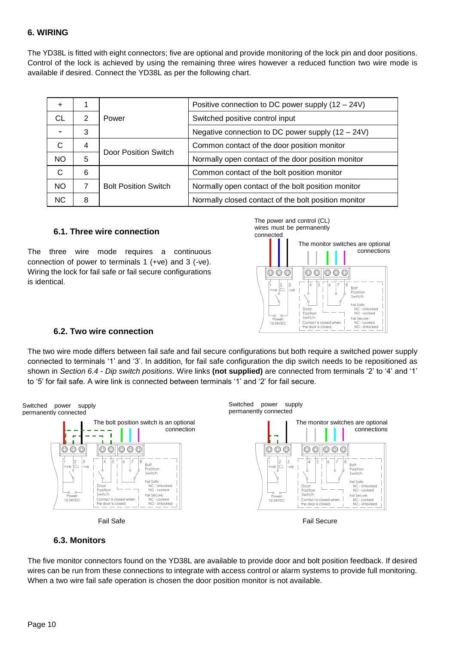#### <span id="page-9-0"></span>**6. WIRING**

The YD38L is fitted with eight connectors; five are optional and provide monitoring of the lock pin and door positions. Control of the lock is achieved by using the remaining three wires however a reduced function two wire mode is available if desired. Connect the YD38L as per the following chart.

| $\ddot{}$ |                |                             | Positive connection to DC power supply $(12 – 24V)$  |
|-----------|----------------|-----------------------------|------------------------------------------------------|
| СL        | 2              | Power                       | Switched positive control input                      |
|           | 3              |                             | Negative connection to DC power supply (12 - 24V)    |
| С         | 4              |                             | Common contact of the door position monitor          |
| <b>NO</b> | 5              | Door Position Switch        | Normally open contact of the door position monitor   |
| С         | 6              |                             | Common contact of the bolt position monitor          |
| <b>NO</b> | $\overline{7}$ | <b>Bolt Position Switch</b> | Normally open contact of the bolt position monitor   |
| NC.       | 8              |                             | Normally closed contact of the bolt position monitor |

#### **6.1. Three wire connection**

<span id="page-9-1"></span>The three wire mode requires a continuous connection of power to terminals 1 (+ve) and 3 (-ve). Wiring the lock for fail safe or fail secure configurations is identical.



#### **6.2. Two wire connection**

<span id="page-9-2"></span>The two wire mode differs between fail safe and fail secure configurations but both require a switched power supply connected to terminals '1' and '3'. In addition, for fail safe configuration the dip switch needs to be repositioned as shown in *Section [6.4](#page-10-0) - [Dip switch positions.](#page-10-0)* Wire links **(not supplied)** are connected from terminals '2' to '4' and '1' to '5' for fail safe. A wire link is connected between terminals '1' and '2' for fail secure.



#### **6.3. Monitors**

<span id="page-9-3"></span>The five monitor connectors found on the YD38L are available to provide door and bolt position feedback. If desired wires can be run from these connections to integrate with access control or alarm systems to provide full monitoring. When a two wire fail safe operation is chosen the door position monitor is not available.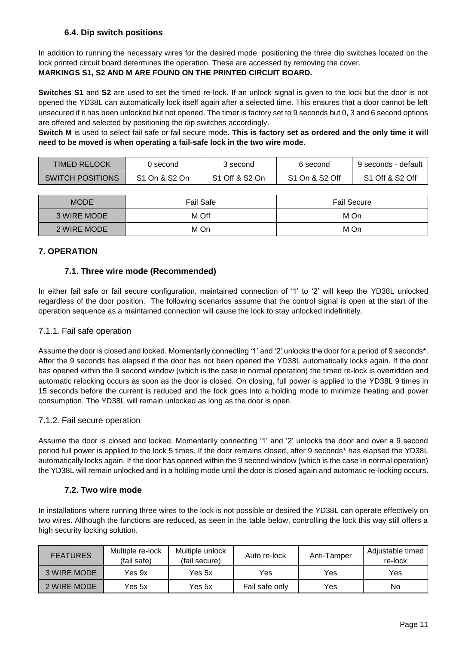## **6.4. Dip switch positions**

<span id="page-10-0"></span>In addition to running the necessary wires for the desired mode, positioning the three dip switches located on the lock printed circuit board determines the operation. These are accessed by removing the cover. **MARKINGS S1, S2 AND M ARE FOUND ON THE PRINTED CIRCUIT BOARD.**

**Switches S1** and **S2** are used to set the timed re-lock. If an unlock signal is given to the lock but the door is not opened the YD38L can automatically lock itself again after a selected time. This ensures that a door cannot be left unsecured if it has been unlocked but not opened. The timer is factory set to 9 seconds but 0, 3 and 6 second options are offered and selected by positioning the dip switches accordingly.

**Switch M** is used to select fail safe or fail secure mode. **This is factory set as ordered and the only time it will need to be moved is when operating a fail-safe lock in the two wire mode.**

| TIMED RELOCK            | () second     | 3 second       | 6 second       | 9 seconds - default                     |
|-------------------------|---------------|----------------|----------------|-----------------------------------------|
| <b>SWITCH POSITIONS</b> | S1 On & S2 On | S1 Off & S2 On | S1 On & S2 Off | S <sub>1</sub> Off & S <sub>2</sub> Off |

| <b>MODE</b> | <b>Fail Safe</b> | <b>Fail Secure</b> |
|-------------|------------------|--------------------|
| 3 WIRE MODE | M Off            | M On               |
| 2 WIRE MODE | M On             | M On               |

#### <span id="page-10-2"></span><span id="page-10-1"></span>**7. OPERATION**

#### **7.1. Three wire mode (Recommended)**

In either fail safe or fail secure configuration, maintained connection of '1' to '2' will keep the YD38L unlocked regardless of the door position. The following scenarios assume that the control signal is open at the start of the operation sequence as a maintained connection will cause the lock to stay unlocked indefinitely.

#### 7.1.1. Fail safe operation

Assume the door is closed and locked. Momentarily connecting '1' and '2' unlocks the door for a period of 9 seconds\*. After the 9 seconds has elapsed if the door has not been opened the YD38L automatically locks again. If the door has opened within the 9 second window (which is the case in normal operation) the timed re-lock is overridden and automatic relocking occurs as soon as the door is closed. On closing, full power is applied to the YD38L 9 times in 15 seconds before the current is reduced and the lock goes into a holding mode to minimize heating and power consumption. The YD38L will remain unlocked as long as the door is open.

#### 7.1.2. Fail secure operation

Assume the door is closed and locked. Momentarily connecting '1' and '2' unlocks the door and over a 9 second period full power is applied to the lock 5 times. If the door remains closed, after 9 seconds\* has elapsed the YD38L automatically locks again. If the door has opened within the 9 second window (which is the case in normal operation) the YD38L will remain unlocked and in a holding mode until the door is closed again and automatic re-locking occurs.

#### **7.2. Two wire mode**

<span id="page-10-3"></span>In installations where running three wires to the lock is not possible or desired the YD38L can operate effectively on two wires. Although the functions are reduced, as seen in the table below, controlling the lock this way still offers a high security locking solution.

| <b>FEATURES</b> | Multiple re-lock<br>(fail safe) | Multiple unlock<br>(fail secure) | Auto re-lock   | Anti-Tamper | Adjustable timed<br>re-lock |
|-----------------|---------------------------------|----------------------------------|----------------|-------------|-----------------------------|
| 3 WIRE MODE     | Yes 9x                          | Yes 5x                           | Yes            | Yes         | Yes                         |
| 2 WIRE MODE     | Yes 5x                          | Yes 5x                           | Fail safe only | Yes         | No                          |